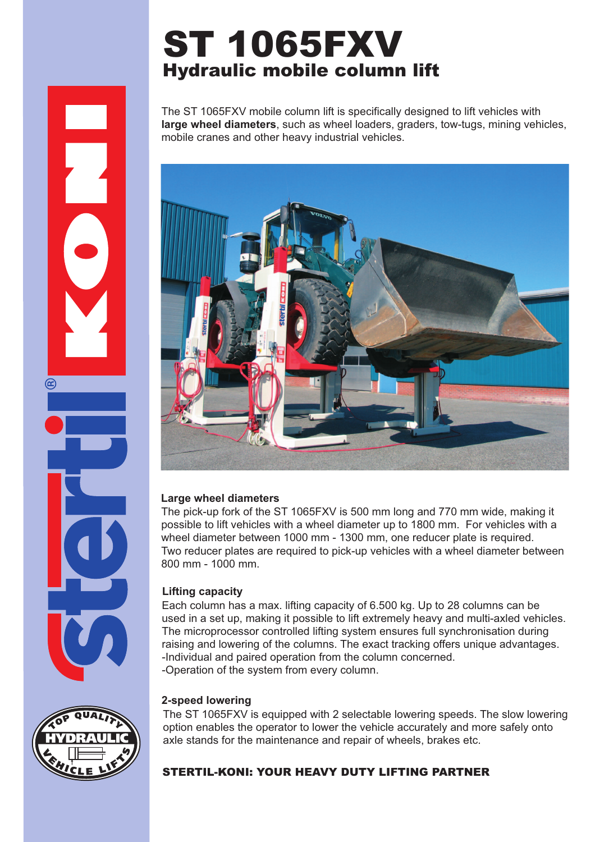# ST 1065FXV Hydraulic mobile column lift

The ST 1065FXV mobile column lift is specifically designed to lift vehicles with **large wheel diameters**, such as wheel loaders, graders, tow-tugs, mining vehicles, mobile cranes and other heavy industrial vehicles.



#### **Large wheel diameters**

The pick-up fork of the ST 1065FXV is 500 mm long and 770 mm wide, making it possible to lift vehicles with a wheel diameter up to 1800 mm. For vehicles with a wheel diameter between 1000 mm - 1300 mm, one reducer plate is required. Two reducer plates are required to pick-up vehicles with a wheel diameter between 800 mm - 1000 mm.

## **Lifting capacity**

Each column has a max. lifting capacity of 6.500 kg. Up to 28 columns can be used in a set up, making it possible to lift extremely heavy and multi-axled vehicles. The microprocessor controlled lifting system ensures full synchronisation during raising and lowering of the columns. The exact tracking offers unique advantages. -Individual and paired operation from the column concerned. -Operation of the system from every column.

## **2-speed lowering**

The ST 1065FXV is equipped with 2 selectable lowering speeds. The slow lowering option enables the operator to lower the vehicle accurately and more safely onto axle stands for the maintenance and repair of wheels, brakes etc.

# STERTIL-KONI: YOUR HEAVY DUTY LIFTING PARTNER